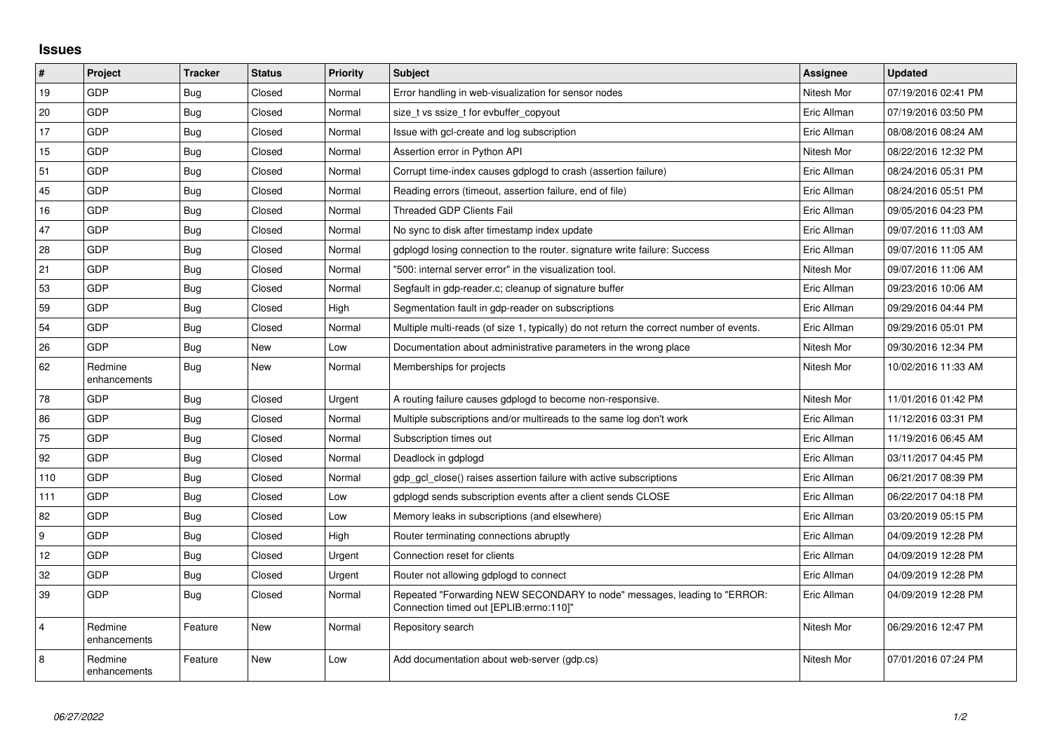## **Issues**

| $\vert$ #      | Project                 | <b>Tracker</b> | <b>Status</b> | Priority | <b>Subject</b>                                                                                                      | <b>Assignee</b> | <b>Updated</b>      |
|----------------|-------------------------|----------------|---------------|----------|---------------------------------------------------------------------------------------------------------------------|-----------------|---------------------|
| 19             | GDP                     | Bug            | Closed        | Normal   | Error handling in web-visualization for sensor nodes                                                                | Nitesh Mor      | 07/19/2016 02:41 PM |
| 20             | GDP                     | Bug            | Closed        | Normal   | size t vs ssize t for evbuffer copyout                                                                              | Eric Allman     | 07/19/2016 03:50 PM |
| 17             | GDP                     | Bug            | Closed        | Normal   | Issue with gcl-create and log subscription                                                                          | Eric Allman     | 08/08/2016 08:24 AM |
| 15             | GDP                     | <b>Bug</b>     | Closed        | Normal   | Assertion error in Python API                                                                                       | Nitesh Mor      | 08/22/2016 12:32 PM |
| 51             | GDP                     | Bug            | Closed        | Normal   | Corrupt time-index causes gdplogd to crash (assertion failure)                                                      | Eric Allman     | 08/24/2016 05:31 PM |
| 45             | GDP                     | <b>Bug</b>     | Closed        | Normal   | Reading errors (timeout, assertion failure, end of file)                                                            | Eric Allman     | 08/24/2016 05:51 PM |
| 16             | GDP                     | Bug            | Closed        | Normal   | Threaded GDP Clients Fail                                                                                           | Eric Allman     | 09/05/2016 04:23 PM |
| 47             | GDP                     | Bug            | Closed        | Normal   | No sync to disk after timestamp index update                                                                        | Eric Allman     | 09/07/2016 11:03 AM |
| 28             | GDP                     | <b>Bug</b>     | Closed        | Normal   | gdplogd losing connection to the router. signature write failure: Success                                           | Eric Allman     | 09/07/2016 11:05 AM |
| 21             | GDP                     | <b>Bug</b>     | Closed        | Normal   | '500: internal server error" in the visualization tool.                                                             | Nitesh Mor      | 09/07/2016 11:06 AM |
| 53             | GDP                     | <b>Bug</b>     | Closed        | Normal   | Segfault in gdp-reader.c; cleanup of signature buffer                                                               | Eric Allman     | 09/23/2016 10:06 AM |
| 59             | GDP                     | <b>Bug</b>     | Closed        | High     | Segmentation fault in gdp-reader on subscriptions                                                                   | Eric Allman     | 09/29/2016 04:44 PM |
| 54             | <b>GDP</b>              | Bug            | Closed        | Normal   | Multiple multi-reads (of size 1, typically) do not return the correct number of events.                             | Eric Allman     | 09/29/2016 05:01 PM |
| 26             | GDP                     | Bug            | New           | Low      | Documentation about administrative parameters in the wrong place                                                    | Nitesh Mor      | 09/30/2016 12:34 PM |
| 62             | Redmine<br>enhancements | <b>Bug</b>     | New           | Normal   | Memberships for projects                                                                                            | Nitesh Mor      | 10/02/2016 11:33 AM |
| 78             | GDP                     | <b>Bug</b>     | Closed        | Urgent   | A routing failure causes gdplogd to become non-responsive.                                                          | Nitesh Mor      | 11/01/2016 01:42 PM |
| 86             | <b>GDP</b>              | Bug            | Closed        | Normal   | Multiple subscriptions and/or multireads to the same log don't work                                                 | Eric Allman     | 11/12/2016 03:31 PM |
| 75             | GDP                     | <b>Bug</b>     | Closed        | Normal   | Subscription times out                                                                                              | Eric Allman     | 11/19/2016 06:45 AM |
| 92             | GDP                     | <b>Bug</b>     | Closed        | Normal   | Deadlock in gdplogd                                                                                                 | Eric Allman     | 03/11/2017 04:45 PM |
| 110            | GDP                     | <b>Bug</b>     | Closed        | Normal   | gdp gcl close() raises assertion failure with active subscriptions                                                  | Eric Allman     | 06/21/2017 08:39 PM |
| 111            | GDP                     | Bug            | Closed        | Low      | gdplogd sends subscription events after a client sends CLOSE                                                        | Eric Allman     | 06/22/2017 04:18 PM |
| 82             | GDP                     | <b>Bug</b>     | Closed        | Low      | Memory leaks in subscriptions (and elsewhere)                                                                       | Eric Allman     | 03/20/2019 05:15 PM |
| 9              | GDP                     | Bug            | Closed        | High     | Router terminating connections abruptly                                                                             | Eric Allman     | 04/09/2019 12:28 PM |
| 12             | GDP                     | <b>Bug</b>     | Closed        | Urgent   | Connection reset for clients                                                                                        | Eric Allman     | 04/09/2019 12:28 PM |
| 32             | GDP                     | Bug            | Closed        | Urgent   | Router not allowing gdplogd to connect                                                                              | Eric Allman     | 04/09/2019 12:28 PM |
| 39             | GDP                     | Bug            | Closed        | Normal   | Repeated "Forwarding NEW SECONDARY to node" messages, leading to "ERROR:<br>Connection timed out [EPLIB:errno:110]" | Eric Allman     | 04/09/2019 12:28 PM |
| $\overline{4}$ | Redmine<br>enhancements | Feature        | New           | Normal   | Repository search                                                                                                   | Nitesh Mor      | 06/29/2016 12:47 PM |
| 8              | Redmine<br>enhancements | Feature        | <b>New</b>    | Low      | Add documentation about web-server (gdp.cs)                                                                         | Nitesh Mor      | 07/01/2016 07:24 PM |